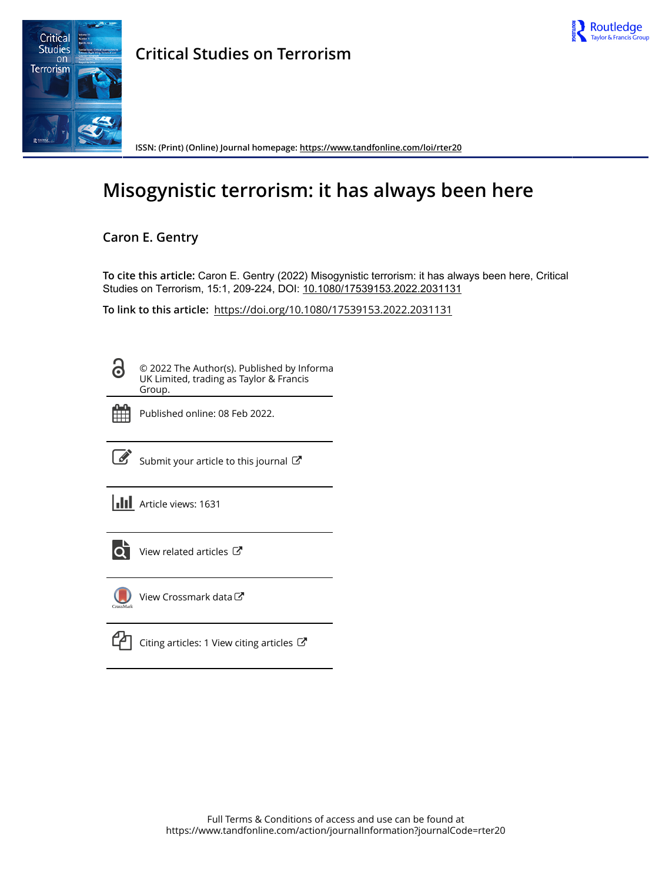



**Critical Studies on Terrorism**

**ISSN: (Print) (Online) Journal homepage:<https://www.tandfonline.com/loi/rter20>**

# **Misogynistic terrorism: it has always been here**

# **Caron E. Gentry**

**To cite this article:** Caron E. Gentry (2022) Misogynistic terrorism: it has always been here, Critical Studies on Terrorism, 15:1, 209-224, DOI: [10.1080/17539153.2022.2031131](https://www.tandfonline.com/action/showCitFormats?doi=10.1080/17539153.2022.2031131)

**To link to this article:** <https://doi.org/10.1080/17539153.2022.2031131>

Ō

© 2022 The Author(s). Published by Informa UK Limited, trading as Taylor & Francis Group.



Published online: 08 Feb 2022.

[Submit your article to this journal](https://www.tandfonline.com/action/authorSubmission?journalCode=rter20&show=instructions)  $\mathbb{Z}$ 

**III** Article views: 1631



[View related articles](https://www.tandfonline.com/doi/mlt/10.1080/17539153.2022.2031131) C



[View Crossmark data](http://crossmark.crossref.org/dialog/?doi=10.1080/17539153.2022.2031131&domain=pdf&date_stamp=2022-02-08)

| ٠                      |  |
|------------------------|--|
|                        |  |
| <b>Service Service</b> |  |

[Citing articles: 1 View citing articles](https://www.tandfonline.com/doi/citedby/10.1080/17539153.2022.2031131#tabModule)  $\mathbb{Z}$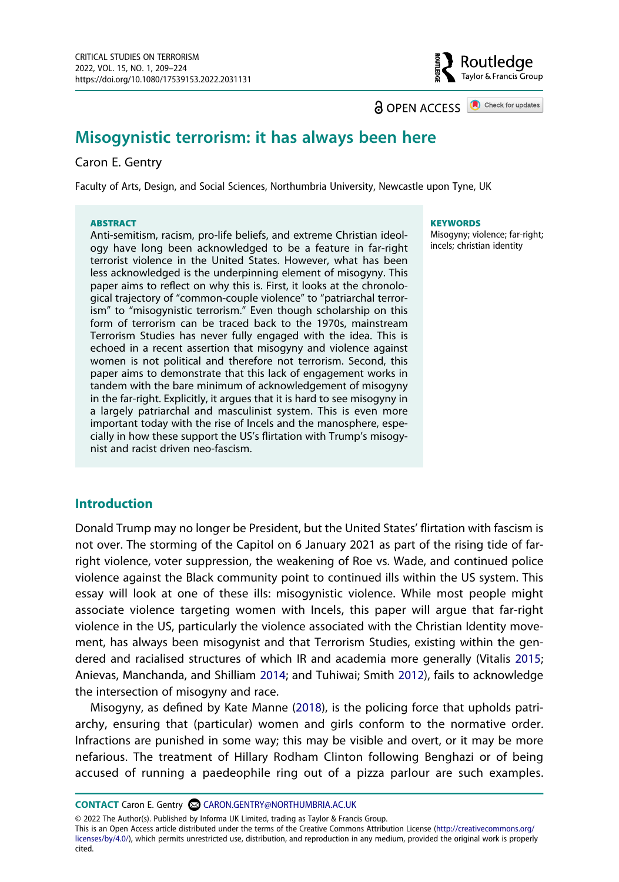**a** OPEN ACCESS **a** Check for updates

Routledge Taylor & Francis Group

## **Misogynistic terrorism: it has always been here**

#### Caron E. Gentry

Faculty of Arts, Design, and Social Sciences, Northumbria University, Newcastle upon Tyne, UK

#### **ABSTRACT**

Anti-semitism, racism, pro-life beliefs, and extreme Christian ideology have long been acknowledged to be a feature in far-right terrorist violence in the United States. However, what has been less acknowledged is the underpinning element of misogyny. This paper aims to reflect on why this is. First, it looks at the chronological trajectory of "common-couple violence" to "patriarchal terrorism" to "misogynistic terrorism." Even though scholarship on this form of terrorism can be traced back to the 1970s, mainstream Terrorism Studies has never fully engaged with the idea. This is echoed in a recent assertion that misogyny and violence against women is not political and therefore not terrorism. Second, this paper aims to demonstrate that this lack of engagement works in tandem with the bare minimum of acknowledgement of misogyny in the far-right. Explicitly, it argues that it is hard to see misogyny in a largely patriarchal and masculinist system. This is even more important today with the rise of Incels and the manosphere, especially in how these support the US's flirtation with Trump's misogynist and racist driven neo-fascism.

#### **KEYWORDS**

Misogyny; violence; far-right; incels; christian identity

#### **Introduction**

Donald Trump may no longer be President, but the United States' flirtation with fascism is not over. The storming of the Capitol on 6 January 2021 as part of the rising tide of farright violence, voter suppression, the weakening of Roe vs. Wade, and continued police violence against the Black community point to continued ills within the US system. This essay will look at one of these ills: misogynistic violence. While most people might associate violence targeting women with Incels, this paper will argue that far-right violence in the US, particularly the violence associated with the Christian Identity movement, has always been misogynist and that Terrorism Studies, existing within the gendered and racialised structures of which IR and academia more generally (Vitalis [2015](#page-16-0); Anievas, Manchanda, and Shilliam [2014;](#page-13-0) and Tuhiwai; Smith [2012\)](#page-16-1), fails to acknowledge the intersection of misogyny and race.

<span id="page-1-2"></span><span id="page-1-1"></span><span id="page-1-0"></span>Misogyny, as defined by Kate Manne ([2018](#page-15-0)), is the policing force that upholds patriarchy, ensuring that (particular) women and girls conform to the normative order. Infractions are punished in some way; this may be visible and overt, or it may be more nefarious. The treatment of Hillary Rodham Clinton following Benghazi or of being accused of running a paedeophile ring out of a pizza parlour are such examples.

**CONTACT** Caron E. Gentry **CO** CARON.GENTRY@NORTHUMBRIA.AC.UK

© 2022 The Author(s). Published by Informa UK Limited, trading as Taylor & Francis Group.

This is an Open Access article distributed under the terms of the Creative Commons Attribution License (http://creativecommons.org/ licenses/by/4.0/), which permits unrestricted use, distribution, and reproduction in any medium, provided the original work is properly cited.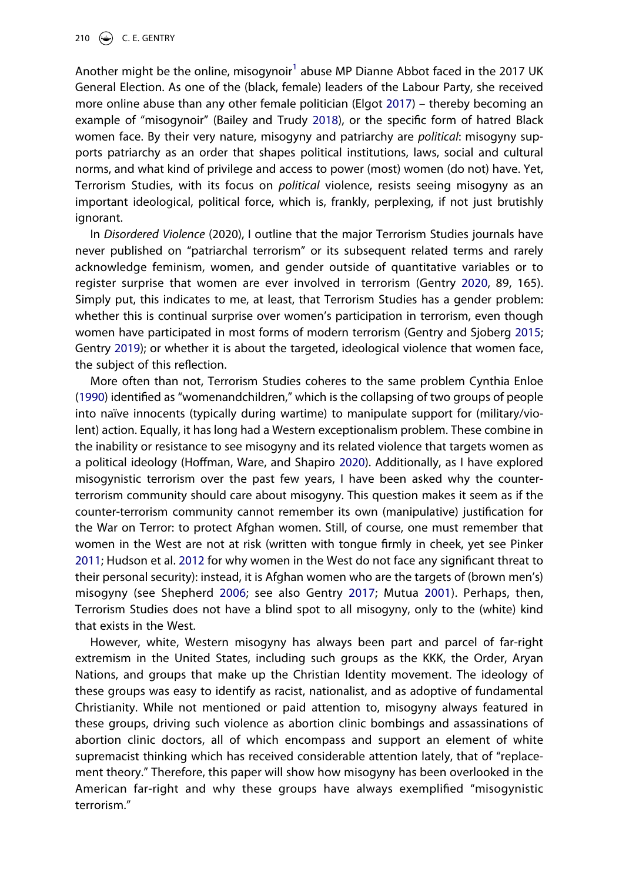<span id="page-2-1"></span><span id="page-2-0"></span>Another might be the online, misogynoir<sup>1</sup> abuse MP Dianne Abbot faced in the 2017 UK General Election. As one of the (black, female) leaders of the Labour Party, she received more online abuse than any other female politician (Elgot [2017](#page-14-0)) – thereby becoming an example of "misogynoir" (Bailey and Trudy [2018\)](#page-13-2), or the specific form of hatred Black women face. By their very nature, misogyny and patriarchy are *political*: misogyny supports patriarchy as an order that shapes political institutions, laws, social and cultural norms, and what kind of privilege and access to power (most) women (do not) have. Yet, Terrorism Studies, with its focus on *political* violence, resists seeing misogyny as an important ideological, political force, which is, frankly, perplexing, if not just brutishly ignorant.

<span id="page-2-5"></span>In *Disordered Violence* (2020), I outline that the major Terrorism Studies journals have never published on "patriarchal terrorism" or its subsequent related terms and rarely acknowledge feminism, women, and gender outside of quantitative variables or to register surprise that women are ever involved in terrorism (Gentry [2020,](#page-14-1) 89, 165). Simply put, this indicates to me, at least, that Terrorism Studies has a gender problem: whether this is continual surprise over women's participation in terrorism, even though women have participated in most forms of modern terrorism (Gentry and Sjoberg [2015](#page-14-2); Gentry [2019\)](#page-14-3); or whether it is about the targeted, ideological violence that women face, the subject of this reflection.

<span id="page-2-7"></span><span id="page-2-6"></span><span id="page-2-4"></span><span id="page-2-2"></span>More often than not, Terrorism Studies coheres to the same problem Cynthia Enloe ([1990](#page-14-4)) identified as "womenandchildren," which is the collapsing of two groups of people into naïve innocents (typically during wartime) to manipulate support for (military/violent) action. Equally, it has long had a Western exceptionalism problem. These combine in the inability or resistance to see misogyny and its related violence that targets women as a political ideology (Hoffman, Ware, and Shapiro [2020\)](#page-15-1). Additionally, as I have explored misogynistic terrorism over the past few years, I have been asked why the counterterrorism community should care about misogyny. This question makes it seem as if the counter-terrorism community cannot remember its own (manipulative) justification for the War on Terror: to protect Afghan women. Still, of course, one must remember that women in the West are not at risk (written with tongue firmly in cheek, yet see Pinker [2011;](#page-15-2) Hudson et al. [2012](#page-15-3) for why women in the West do not face any significant threat to their personal security): instead, it is Afghan women who are the targets of (brown men's) misogyny (see Shepherd [2006](#page-16-2); see also Gentry [2017](#page-14-5); Mutua [2001\)](#page-15-4). Perhaps, then, Terrorism Studies does not have a blind spot to all misogyny, only to the (white) kind that exists in the West.

<span id="page-2-9"></span><span id="page-2-8"></span><span id="page-2-3"></span>However, white, Western misogyny has always been part and parcel of far-right extremism in the United States, including such groups as the KKK, the Order, Aryan Nations, and groups that make up the Christian Identity movement. The ideology of these groups was easy to identify as racist, nationalist, and as adoptive of fundamental Christianity. While not mentioned or paid attention to, misogyny always featured in these groups, driving such violence as abortion clinic bombings and assassinations of abortion clinic doctors, all of which encompass and support an element of white supremacist thinking which has received considerable attention lately, that of "replacement theory." Therefore, this paper will show how misogyny has been overlooked in the American far-right and why these groups have always exemplified "misogynistic terrorism."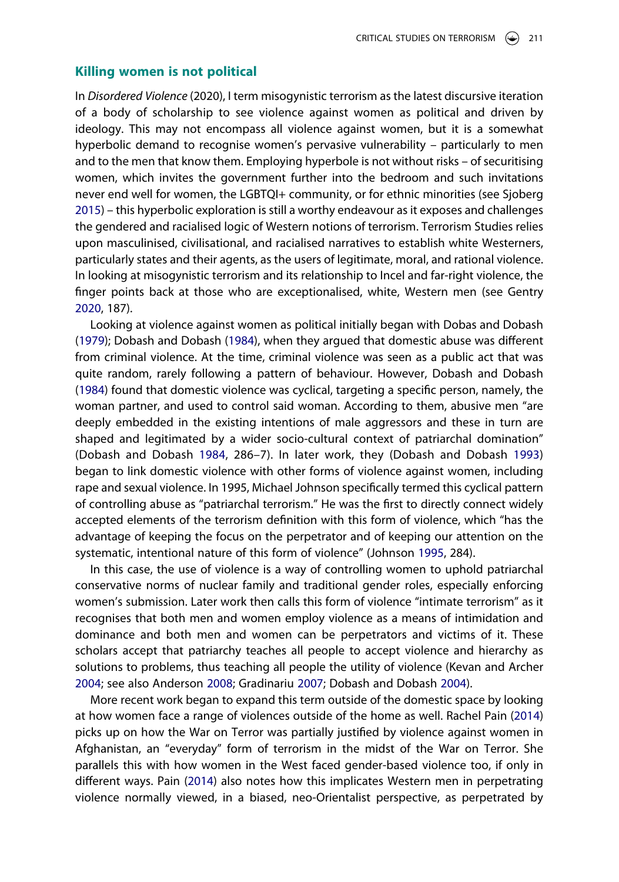#### **Killing women is not political**

<span id="page-3-6"></span>In *Disordered Violence* (2020), I term misogynistic terrorism as the latest discursive iteration of a body of scholarship to see violence against women as political and driven by ideology. This may not encompass all violence against women, but it is a somewhat hyperbolic demand to recognise women's pervasive vulnerability – particularly to men and to the men that know them. Employing hyperbole is not without risks – of securitising women, which invites the government further into the bedroom and such invitations never end well for women, the LGBTQI+ community, or for ethnic minorities (see Sjoberg [2015\)](#page-16-3) – this hyperbolic exploration is still a worthy endeavour as it exposes and challenges the gendered and racialised logic of Western notions of terrorism. Terrorism Studies relies upon masculinised, civilisational, and racialised narratives to establish white Westerners, particularly states and their agents, as the users of legitimate, moral, and rational violence. In looking at misogynistic terrorism and its relationship to Incel and far-right violence, the finger points back at those who are exceptionalised, white, Western men (see Gentry [2020,](#page-14-1) 187).

<span id="page-3-1"></span>Looking at violence against women as political initially began with Dobas and Dobash ([1979](#page-14-6)); Dobash and Dobash [\(1984\)](#page-14-7), when they argued that domestic abuse was different from criminal violence. At the time, criminal violence was seen as a public act that was quite random, rarely following a pattern of behaviour. However, Dobash and Dobash ([1984](#page-14-7)) found that domestic violence was cyclical, targeting a specific person, namely, the woman partner, and used to control said woman. According to them, abusive men "are deeply embedded in the existing intentions of male aggressors and these in turn are shaped and legitimated by a wider socio-cultural context of patriarchal domination" (Dobash and Dobash [1984,](#page-14-7) 286–7). In later work, they (Dobash and Dobash [1993](#page-14-8)) began to link domestic violence with other forms of violence against women, including rape and sexual violence. In 1995, Michael Johnson specifically termed this cyclical pattern of controlling abuse as "patriarchal terrorism." He was the first to directly connect widely accepted elements of the terrorism definition with this form of violence, which "has the advantage of keeping the focus on the perpetrator and of keeping our attention on the systematic, intentional nature of this form of violence" (Johnson [1995,](#page-15-5) 284).

<span id="page-3-3"></span><span id="page-3-2"></span>In this case, the use of violence is a way of controlling women to uphold patriarchal conservative norms of nuclear family and traditional gender roles, especially enforcing women's submission. Later work then calls this form of violence "intimate terrorism" as it recognises that both men and women employ violence as a means of intimidation and dominance and both men and women can be perpetrators and victims of it. These scholars accept that patriarchy teaches all people to accept violence and hierarchy as solutions to problems, thus teaching all people the utility of violence (Kevan and Archer [2004;](#page-15-6) see also Anderson [2008](#page-13-3); Gradinariu [2007;](#page-15-7) Dobash and Dobash [2004\)](#page-14-9).

<span id="page-3-5"></span><span id="page-3-4"></span><span id="page-3-0"></span>More recent work began to expand this term outside of the domestic space by looking at how women face a range of violences outside of the home as well. Rachel Pain ([2014](#page-15-8)) picks up on how the War on Terror was partially justified by violence against women in Afghanistan, an "everyday" form of terrorism in the midst of the War on Terror. She parallels this with how women in the West faced gender-based violence too, if only in different ways. Pain ([2014](#page-15-8)) also notes how this implicates Western men in perpetrating violence normally viewed, in a biased, neo-Orientalist perspective, as perpetrated by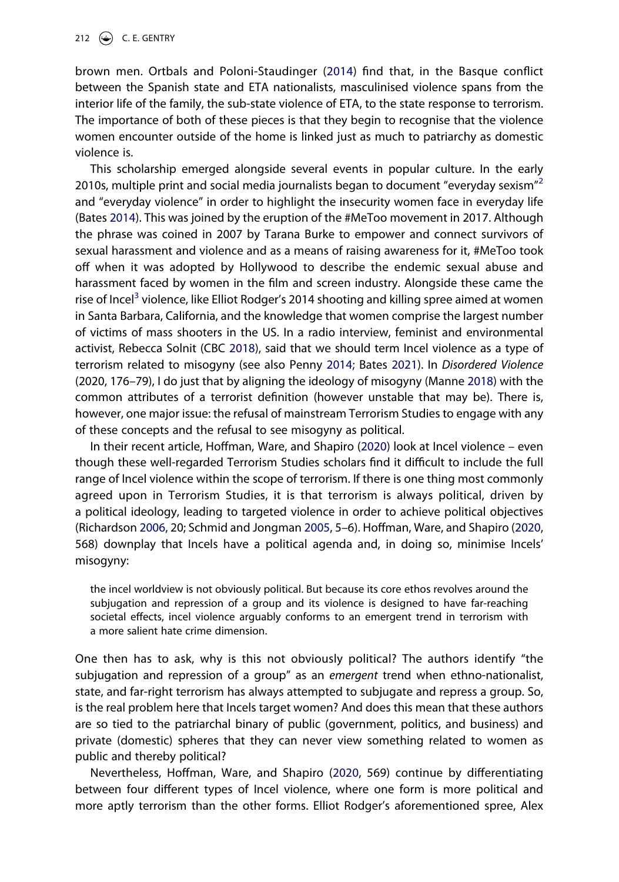<span id="page-4-3"></span>brown men. Ortbals and Poloni-Staudinger [\(2014\)](#page-15-9) find that, in the Basque conflict between the Spanish state and ETA nationalists, masculinised violence spans from the interior life of the family, the sub-state violence of ETA, to the state response to terrorism. The importance of both of these pieces is that they begin to recognise that the violence women encounter outside of the home is linked just as much to patriarchy as domestic violence is.

<span id="page-4-0"></span>This scholarship emerged alongside several events in popular culture. In the early [2](#page-13-4)010s, multiple print and social media journalists began to document "everyday sexism"<sup>2</sup> and "everyday violence" in order to highlight the insecurity women face in everyday life (Bates [2014](#page-13-5)). This was joined by the eruption of the #MeToo movement in 2017. Although the phrase was coined in 2007 by Tarana Burke to empower and connect survivors of sexual harassment and violence and as a means of raising awareness for it, #MeToo took off when it was adopted by Hollywood to describe the endemic sexual abuse and harassment faced by women in the film and screen industry. Alongside these came the rise of Incel<sup>3</sup> violence, like Elliot Rodger's 2014 shooting and killing spree aimed at women in Santa Barbara, California, and the knowledge that women comprise the largest number of victims of mass shooters in the US. In a radio interview, feminist and environmental activist, Rebecca Solnit (CBC [2018](#page-14-10)), said that we should term Incel violence as a type of terrorism related to misogyny (see also Penny [2014;](#page-15-10) Bates [2021\)](#page-13-7). In *Disordered Violence*  (2020, 176–79), I do just that by aligning the ideology of misogyny (Manne [2018](#page-15-0)) with the common attributes of a terrorist definition (however unstable that may be). There is, however, one major issue: the refusal of mainstream Terrorism Studies to engage with any of these concepts and the refusal to see misogyny as political.

<span id="page-4-2"></span><span id="page-4-1"></span>In their recent article, Hoffman, Ware, and Shapiro ([2020](#page-15-1)) look at Incel violence – even though these well-regarded Terrorism Studies scholars find it difficult to include the full range of Incel violence within the scope of terrorism. If there is one thing most commonly agreed upon in Terrorism Studies, it is that terrorism is always political, driven by a political ideology, leading to targeted violence in order to achieve political objectives (Richardson [2006,](#page-16-4) 20; Schmid and Jongman [2005](#page-16-5), 5–6). Hoffman, Ware, and Shapiro ([2020](#page-15-1), 568) downplay that Incels have a political agenda and, in doing so, minimise Incels' misogyny:

<span id="page-4-4"></span>the incel worldview is not obviously political. But because its core ethos revolves around the subjugation and repression of a group and its violence is designed to have far-reaching societal effects, incel violence arguably conforms to an emergent trend in terrorism with a more salient hate crime dimension.

One then has to ask, why is this not obviously political? The authors identify "the subjugation and repression of a group" as an *emergent* trend when ethno-nationalist, state, and far-right terrorism has always attempted to subjugate and repress a group. So, is the real problem here that Incels target women? And does this mean that these authors are so tied to the patriarchal binary of public (government, politics, and business) and private (domestic) spheres that they can never view something related to women as public and thereby political?

Nevertheless, Hoffman, Ware, and Shapiro [\(2020](#page-15-1), 569) continue by differentiating between four different types of Incel violence, where one form is more political and more aptly terrorism than the other forms. Elliot Rodger's aforementioned spree, Alex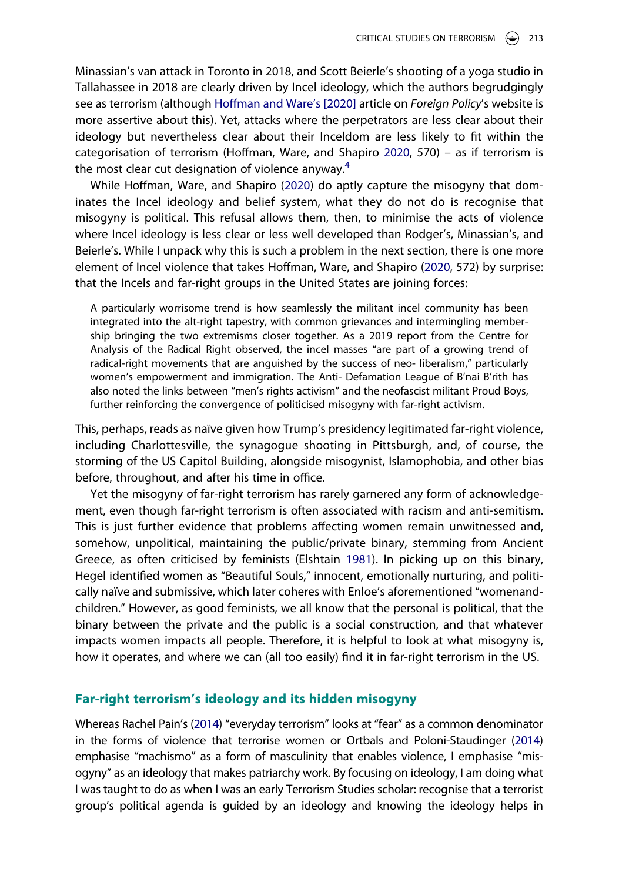<span id="page-5-1"></span>Minassian's van attack in Toronto in 2018, and Scott Beierle's shooting of a yoga studio in Tallahassee in 2018 are clearly driven by Incel ideology, which the authors begrudgingly see as terrorism (although [Hoffman and Ware's \[2020\]](#page-15-11) article on *Foreign Policy*'s website is more assertive about this). Yet, attacks where the perpetrators are less clear about their ideology but nevertheless clear about their Inceldom are less likely to fit within the categorisation of terrorism (Hoffman, Ware, and Shapiro [2020,](#page-15-1) 570) – as if terrorism is the most clear cut designation of violence anyway. $4$ 

While Hoffman, Ware, and Shapiro ([2020](#page-15-1)) do aptly capture the misogyny that dominates the Incel ideology and belief system, what they do not do is recognise that misogyny is political. This refusal allows them, then, to minimise the acts of violence where Incel ideology is less clear or less well developed than Rodger's, Minassian's, and Beierle's. While I unpack why this is such a problem in the next section, there is one more element of Incel violence that takes Hoffman, Ware, and Shapiro [\(2020,](#page-15-1) 572) by surprise: that the Incels and far-right groups in the United States are joining forces:

A particularly worrisome trend is how seamlessly the militant incel community has been integrated into the alt-right tapestry, with common grievances and intermingling membership bringing the two extremisms closer together. As a 2019 report from the Centre for Analysis of the Radical Right observed, the incel masses "are part of a growing trend of radical-right movements that are anguished by the success of neo- liberalism," particularly women's empowerment and immigration. The Anti- Defamation League of B'nai B'rith has also noted the links between "men's rights activism" and the neofascist militant Proud Boys, further reinforcing the convergence of politicised misogyny with far-right activism.

This, perhaps, reads as naïve given how Trump's presidency legitimated far-right violence, including Charlottesville, the synagogue shooting in Pittsburgh, and, of course, the storming of the US Capitol Building, alongside misogynist, Islamophobia, and other bias before, throughout, and after his time in office.

<span id="page-5-0"></span>Yet the misogyny of far-right terrorism has rarely garnered any form of acknowledgement, even though far-right terrorism is often associated with racism and anti-semitism. This is just further evidence that problems affecting women remain unwitnessed and, somehow, unpolitical, maintaining the public/private binary, stemming from Ancient Greece, as often criticised by feminists (Elshtain [1981\)](#page-14-11). In picking up on this binary, Hegel identified women as "Beautiful Souls," innocent, emotionally nurturing, and politically naïve and submissive, which later coheres with Enloe's aforementioned "womenandchildren." However, as good feminists, we all know that the personal is political, that the binary between the private and the public is a social construction, and that whatever impacts women impacts all people. Therefore, it is helpful to look at what misogyny is, how it operates, and where we can (all too easily) find it in far-right terrorism in the US.

#### **Far-right terrorism's ideology and its hidden misogyny**

Whereas Rachel Pain's ([2014\)](#page-15-8) "everyday terrorism" looks at "fear" as a common denominator in the forms of violence that terrorise women or Ortbals and Poloni-Staudinger [\(2014](#page-15-9)) emphasise "machismo" as a form of masculinity that enables violence, I emphasise "misogyny" as an ideology that makes patriarchy work. By focusing on ideology, I am doing what I was taught to do as when I was an early Terrorism Studies scholar: recognise that a terrorist group's political agenda is guided by an ideology and knowing the ideology helps in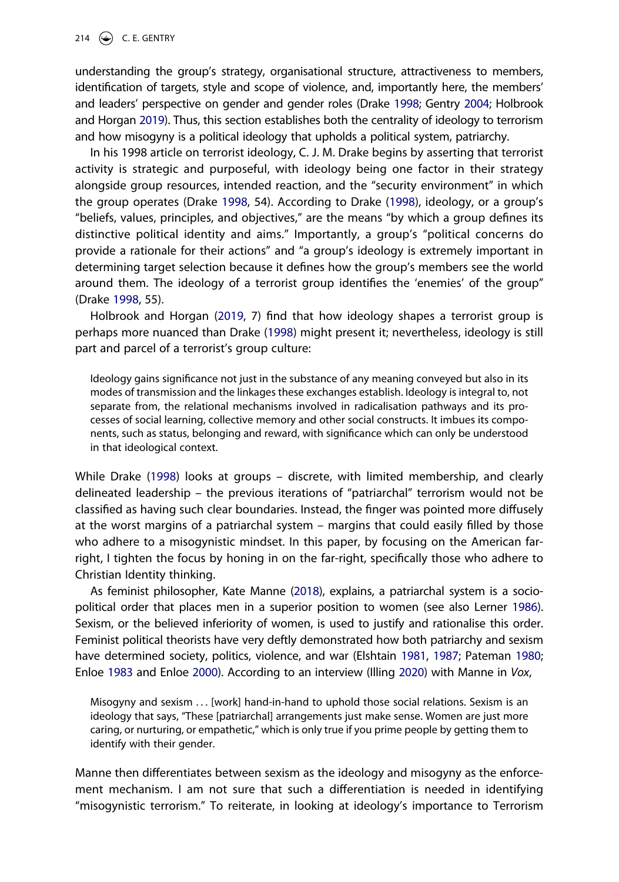<span id="page-6-3"></span>understanding the group's strategy, organisational structure, attractiveness to members, identification of targets, style and scope of violence, and, importantly here, the members' and leaders' perspective on gender and gender roles (Drake [1998;](#page-14-12) Gentry [2004;](#page-14-13) Holbrook and Horgan [2019](#page-15-12)). Thus, this section establishes both the centrality of ideology to terrorism and how misogyny is a political ideology that upholds a political system, patriarchy.

In his 1998 article on terrorist ideology, C. J. M. Drake begins by asserting that terrorist activity is strategic and purposeful, with ideology being one factor in their strategy alongside group resources, intended reaction, and the "security environment" in which the group operates (Drake [1998](#page-14-12), 54). According to Drake [\(1998\)](#page-14-12), ideology, or a group's "beliefs, values, principles, and objectives," are the means "by which a group defines its distinctive political identity and aims." Importantly, a group's "political concerns do provide a rationale for their actions" and "a group's ideology is extremely important in determining target selection because it defines how the group's members see the world around them. The ideology of a terrorist group identifies the 'enemies' of the group" (Drake [1998,](#page-14-12) 55).

<span id="page-6-4"></span>Holbrook and Horgan ([2019](#page-15-12), 7) find that how ideology shapes a terrorist group is perhaps more nuanced than Drake [\(1998\)](#page-14-12) might present it; nevertheless, ideology is still part and parcel of a terrorist's group culture:

Ideology gains significance not just in the substance of any meaning conveyed but also in its modes of transmission and the linkages these exchanges establish. Ideology is integral to, not separate from, the relational mechanisms involved in radicalisation pathways and its processes of social learning, collective memory and other social constructs. It imbues its components, such as status, belonging and reward, with significance which can only be understood in that ideological context.

<span id="page-6-0"></span>While Drake ([1998](#page-14-12)) looks at groups – discrete, with limited membership, and clearly delineated leadership – the previous iterations of "patriarchal" terrorism would not be classified as having such clear boundaries. Instead, the finger was pointed more diffusely at the worst margins of a patriarchal system – margins that could easily filled by those who adhere to a misogynistic mindset. In this paper, by focusing on the American farright, I tighten the focus by honing in on the far-right, specifically those who adhere to Christian Identity thinking.

<span id="page-6-5"></span>As feminist philosopher, Kate Manne [\(2018](#page-15-0)), explains, a patriarchal system is a sociopolitical order that places men in a superior position to women (see also Lerner [1986](#page-15-13)). Sexism, or the believed inferiority of women, is used to justify and rationalise this order. Feminist political theorists have very deftly demonstrated how both patriarchy and sexism have determined society, politics, violence, and war (Elshtain [1981,](#page-14-11) [1987](#page-14-14); Pateman [1980](#page-15-14); Enloe [1983](#page-14-15) and Enloe [2000\)](#page-14-16). According to an interview (Illing [2020](#page-15-15)) with Manne in *Vox*,

<span id="page-6-2"></span><span id="page-6-1"></span>Misogyny and sexism . . . [work] hand-in-hand to uphold those social relations. Sexism is an ideology that says, "These [patriarchal] arrangements just make sense. Women are just more caring, or nurturing, or empathetic," which is only true if you prime people by getting them to identify with their gender.

Manne then differentiates between sexism as the ideology and misogyny as the enforcement mechanism. I am not sure that such a differentiation is needed in identifying "misogynistic terrorism." To reiterate, in looking at ideology's importance to Terrorism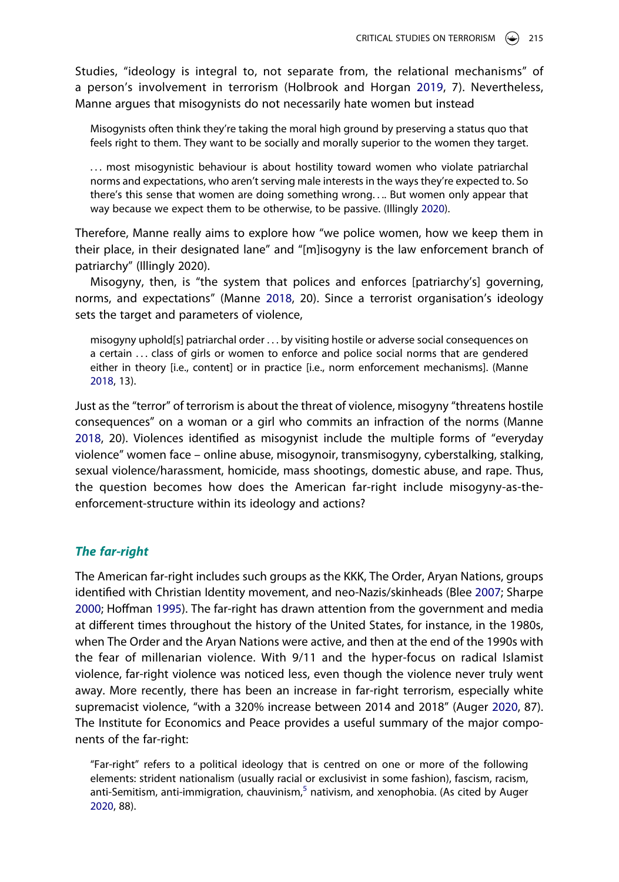Studies, "ideology is integral to, not separate from, the relational mechanisms" of a person's involvement in terrorism (Holbrook and Horgan [2019](#page-15-12), 7). Nevertheless, Manne argues that misogynists do not necessarily hate women but instead

Misogynists often think they're taking the moral high ground by preserving a status quo that feels right to them. They want to be socially and morally superior to the women they target.

. . . most misogynistic behaviour is about hostility toward women who violate patriarchal norms and expectations, who aren't serving male interests in the ways they're expected to. So there's this sense that women are doing something wrong. . .. But women only appear that way because we expect them to be otherwise, to be passive. (Illingly [2020](#page-15-15)).

Therefore, Manne really aims to explore how "we police women, how we keep them in their place, in their designated lane" and "[m]isogyny is the law enforcement branch of patriarchy" (Illingly 2020).

Misogyny, then, is "the system that polices and enforces [patriarchy's] governing, norms, and expectations" (Manne [2018,](#page-15-0) 20). Since a terrorist organisation's ideology sets the target and parameters of violence,

misogyny uphold[s] patriarchal order . . . by visiting hostile or adverse social consequences on a certain ... class of girls or women to enforce and police social norms that are gendered either in theory [i.e., content] or in practice [i.e., norm enforcement mechanisms]. (Manne [2018](#page-15-0), 13).

Just as the "terror" of terrorism is about the threat of violence, misogyny "threatens hostile consequences" on a woman or a girl who commits an infraction of the norms (Manne [2018,](#page-15-0) 20). Violences identified as misogynist include the multiple forms of "everyday violence" women face – online abuse, misogynoir, transmisogyny, cyberstalking, stalking, sexual violence/harassment, homicide, mass shootings, domestic abuse, and rape. Thus, the question becomes how does the American far-right include misogyny-as-theenforcement-structure within its ideology and actions?

#### *The far-right*

<span id="page-7-2"></span><span id="page-7-1"></span>The American far-right includes such groups as the KKK, The Order, Aryan Nations, groups identified with Christian Identity movement, and neo-Nazis/skinheads (Blee [2007](#page-13-9); Sharpe [2000;](#page-16-6) Hoffman [1995\)](#page-15-16). The far-right has drawn attention from the government and media at different times throughout the history of the United States, for instance, in the 1980s, when The Order and the Aryan Nations were active, and then at the end of the 1990s with the fear of millenarian violence. With 9/11 and the hyper-focus on radical Islamist violence, far-right violence was noticed less, even though the violence never truly went away. More recently, there has been an increase in far-right terrorism, especially white supremacist violence, "with a 320% increase between 2014 and 2018" (Auger [2020,](#page-13-10) 87). The Institute for Economics and Peace provides a useful summary of the major components of the far-right:

<span id="page-7-0"></span>"Far-right" refers to a political ideology that is centred on one or more of the following elements: strident nationalism (usually racial or exclusivist in some fashion), fascism, racism, anti-Semitism, anti-immigration, chauvinism, $5$  nativism, and xenophobia. (As cited by Auger [2020](#page-13-10), 88).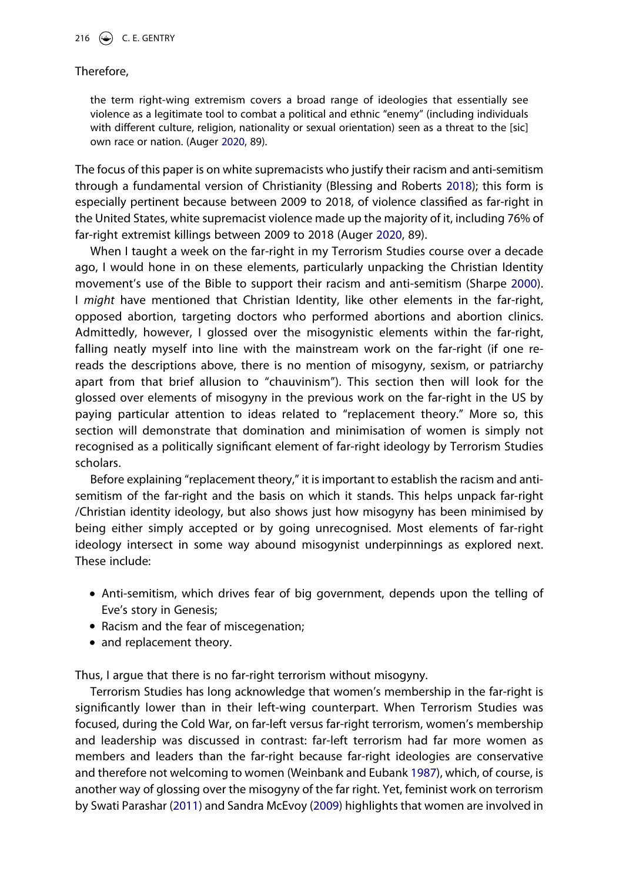#### Therefore,

the term right-wing extremism covers a broad range of ideologies that essentially see violence as a legitimate tool to combat a political and ethnic "enemy" (including individuals with different culture, religion, nationality or sexual orientation) seen as a threat to the [sic] own race or nation. (Auger [2020](#page-13-10), 89).

<span id="page-8-0"></span>The focus of this paper is on white supremacists who justify their racism and anti-semitism through a fundamental version of Christianity (Blessing and Roberts [2018](#page-14-17)); this form is especially pertinent because between 2009 to 2018, of violence classified as far-right in the United States, white supremacist violence made up the majority of it, including 76% of far-right extremist killings between 2009 to 2018 (Auger [2020,](#page-13-10) 89).

When I taught a week on the far-right in my Terrorism Studies course over a decade ago, I would hone in on these elements, particularly unpacking the Christian Identity movement's use of the Bible to support their racism and anti-semitism (Sharpe [2000](#page-16-6)). I *might* have mentioned that Christian Identity, like other elements in the far-right, opposed abortion, targeting doctors who performed abortions and abortion clinics. Admittedly, however, I glossed over the misogynistic elements within the far-right, falling neatly myself into line with the mainstream work on the far-right (if one rereads the descriptions above, there is no mention of misogyny, sexism, or patriarchy apart from that brief allusion to "chauvinism"). This section then will look for the glossed over elements of misogyny in the previous work on the far-right in the US by paying particular attention to ideas related to "replacement theory." More so, this section will demonstrate that domination and minimisation of women is simply not recognised as a politically significant element of far-right ideology by Terrorism Studies scholars.

Before explaining "replacement theory," it is important to establish the racism and antisemitism of the far-right and the basis on which it stands. This helps unpack far-right /Christian identity ideology, but also shows just how misogyny has been minimised by being either simply accepted or by going unrecognised. Most elements of far-right ideology intersect in some way abound misogynist underpinnings as explored next. These include:

- Anti-semitism, which drives fear of big government, depends upon the telling of Eve's story in Genesis;
- Racism and the fear of miscegenation;
- and replacement theory.

Thus, I argue that there is no far-right terrorism without misogyny.

<span id="page-8-2"></span><span id="page-8-1"></span>Terrorism Studies has long acknowledge that women's membership in the far-right is significantly lower than in their left-wing counterpart. When Terrorism Studies was focused, during the Cold War, on far-left versus far-right terrorism, women's membership and leadership was discussed in contrast: far-left terrorism had far more women as members and leaders than the far-right because far-right ideologies are conservative and therefore not welcoming to women (Weinbank and Eubank [1987\)](#page-16-7), which, of course, is another way of glossing over the misogyny of the far right. Yet, feminist work on terrorism by Swati Parashar ([2011](#page-15-17)) and Sandra McEvoy ([2009](#page-15-18)) highlights that women are involved in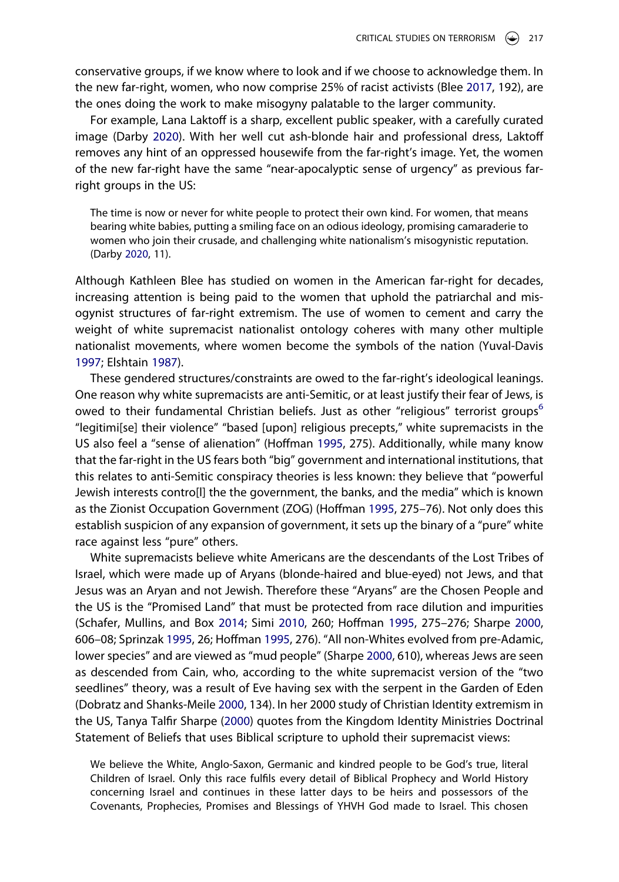<span id="page-9-0"></span>conservative groups, if we know where to look and if we choose to acknowledge them. In the new far-right, women, who now comprise 25% of racist activists (Blee [2017](#page-13-12), 192), are the ones doing the work to make misogyny palatable to the larger community.

For example, Lana Laktoff is a sharp, excellent public speaker, with a carefully curated image (Darby [2020](#page-14-18)). With her well cut ash-blonde hair and professional dress, Laktoff removes any hint of an oppressed housewife from the far-right's image. Yet, the women of the new far-right have the same "near-apocalyptic sense of urgency" as previous farright groups in the US:

The time is now or never for white people to protect their own kind. For women, that means bearing white babies, putting a smiling face on an odious ideology, promising camaraderie to women who join their crusade, and challenging white nationalism's misogynistic reputation. (Darby [2020](#page-14-18), 11).

<span id="page-9-1"></span>Although Kathleen Blee has studied on women in the American far-right for decades, increasing attention is being paid to the women that uphold the patriarchal and misogynist structures of far-right extremism. The use of women to cement and carry the weight of white supremacist nationalist ontology coheres with many other multiple nationalist movements, where women become the symbols of the nation (Yuval-Davis [1997;](#page-16-8) Elshtain [1987\)](#page-14-14).

<span id="page-9-5"></span>These gendered structures/constraints are owed to the far-right's ideological leanings. One reason why white supremacists are anti-Semitic, or at least justify their fear of Jews, is owed to their fundamental Christian beliefs. Just as other "religious" terrorist groups<sup>[6](#page-13-13)</sup> "legitimi[se] their violence" "based [upon] religious precepts," white supremacists in the US also feel a "sense of alienation" (Hoffman [1995](#page-15-16), 275). Additionally, while many know that the far-right in the US fears both "big" government and international institutions, that this relates to anti-Semitic conspiracy theories is less known: they believe that "powerful Jewish interests contro[l] the the government, the banks, and the media" which is known as the Zionist Occupation Government (ZOG) (Hoffman [1995](#page-15-16), 275–76). Not only does this establish suspicion of any expansion of government, it sets up the binary of a "pure" white race against less "pure" others.

<span id="page-9-4"></span><span id="page-9-3"></span>White supremacists believe white Americans are the descendants of the Lost Tribes of Israel, which were made up of Aryans (blonde-haired and blue-eyed) not Jews, and that Jesus was an Aryan and not Jewish. Therefore these "Aryans" are the Chosen People and the US is the "Promised Land" that must be protected from race dilution and impurities (Schafer, Mullins, and Box [2014;](#page-16-9) Simi [2010,](#page-16-10) 260; Hoffman [1995](#page-15-16), 275–276; Sharpe [2000](#page-16-6), 606–08; Sprinzak [1995](#page-16-11), 26; Hoffman [1995](#page-15-16), 276). "All non-Whites evolved from pre-Adamic, lower species" and are viewed as "mud people" (Sharpe [2000,](#page-16-6) 610), whereas Jews are seen as descended from Cain, who, according to the white supremacist version of the "two seedlines" theory, was a result of Eve having sex with the serpent in the Garden of Eden (Dobratz and Shanks-Meile [2000,](#page-14-19) 134). In her 2000 study of Christian Identity extremism in the US, Tanya Talfir Sharpe ([2000](#page-16-6)) quotes from the Kingdom Identity Ministries Doctrinal Statement of Beliefs that uses Biblical scripture to uphold their supremacist views:

<span id="page-9-2"></span>We believe the White, Anglo-Saxon, Germanic and kindred people to be God's true, literal Children of Israel. Only this race fulfils every detail of Biblical Prophecy and World History concerning Israel and continues in these latter days to be heirs and possessors of the Covenants, Prophecies, Promises and Blessings of YHVH God made to Israel. This chosen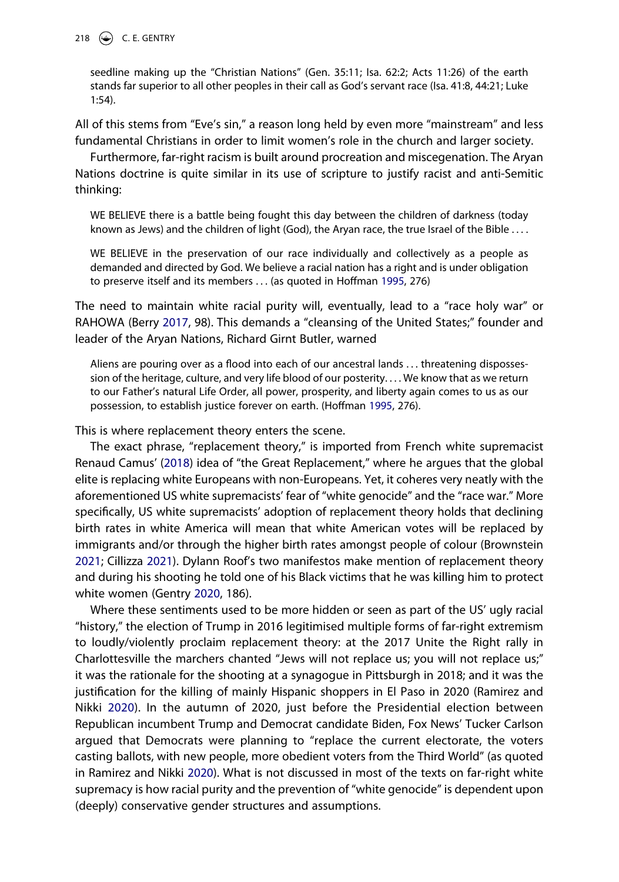seedline making up the "Christian Nations" (Gen. 35:11; Isa. 62:2; Acts 11:26) of the earth stands far superior to all other peoples in their call as God's servant race (Isa. 41:8, 44:21; Luke 1:54).

All of this stems from "Eve's sin," a reason long held by even more "mainstream" and less fundamental Christians in order to limit women's role in the church and larger society.

Furthermore, far-right racism is built around procreation and miscegenation. The Aryan Nations doctrine is quite similar in its use of scripture to justify racist and anti-Semitic thinking:

WE BELIEVE there is a battle being fought this day between the children of darkness (today known as Jews) and the children of light (God), the Aryan race, the true Israel of the Bible . . . .

WE BELIEVE in the preservation of our race individually and collectively as a people as demanded and directed by God. We believe a racial nation has a right and is under obligation to preserve itself and its members . . . (as quoted in Hoffman [1995](#page-15-16), 276)

<span id="page-10-0"></span>The need to maintain white racial purity will, eventually, lead to a "race holy war" or RAHOWA (Berry [2017](#page-13-14), 98). This demands a "cleansing of the United States;" founder and leader of the Aryan Nations, Richard Girnt Butler, warned

Aliens are pouring over as a flood into each of our ancestral lands . . . threatening dispossession of the heritage, culture, and very life blood of our posterity. . . . We know that as we return to our Father's natural Life Order, all power, prosperity, and liberty again comes to us as our possession, to establish justice forever on earth. (Hoffman [1995,](#page-15-16) 276).

This is where replacement theory enters the scene.

<span id="page-10-2"></span>The exact phrase, "replacement theory," is imported from French white supremacist Renaud Camus' ([2018](#page-14-20)) idea of "the Great Replacement," where he argues that the global elite is replacing white Europeans with non-Europeans. Yet, it coheres very neatly with the aforementioned US white supremacists' fear of "white genocide" and the "race war." More specifically, US white supremacists' adoption of replacement theory holds that declining birth rates in white America will mean that white American votes will be replaced by immigrants and/or through the higher birth rates amongst people of colour (Brownstein [2021;](#page-14-21) Cillizza [2021\)](#page-14-22). Dylann Roof's two manifestos make mention of replacement theory and during his shooting he told one of his Black victims that he was killing him to protect white women (Gentry [2020](#page-14-1), 186).

<span id="page-10-4"></span><span id="page-10-3"></span><span id="page-10-1"></span>Where these sentiments used to be more hidden or seen as part of the US' ugly racial "history," the election of Trump in 2016 legitimised multiple forms of far-right extremism to loudly/violently proclaim replacement theory: at the 2017 Unite the Right rally in Charlottesville the marchers chanted "Jews will not replace us; you will not replace us;" it was the rationale for the shooting at a synagogue in Pittsburgh in 2018; and it was the justification for the killing of mainly Hispanic shoppers in El Paso in 2020 (Ramirez and Nikki [2020](#page-16-12)). In the autumn of 2020, just before the Presidential election between Republican incumbent Trump and Democrat candidate Biden, Fox News' Tucker Carlson argued that Democrats were planning to "replace the current electorate, the voters casting ballots, with new people, more obedient voters from the Third World" (as quoted in Ramirez and Nikki [2020](#page-16-12)). What is not discussed in most of the texts on far-right white supremacy is how racial purity and the prevention of "white genocide" is dependent upon (deeply) conservative gender structures and assumptions.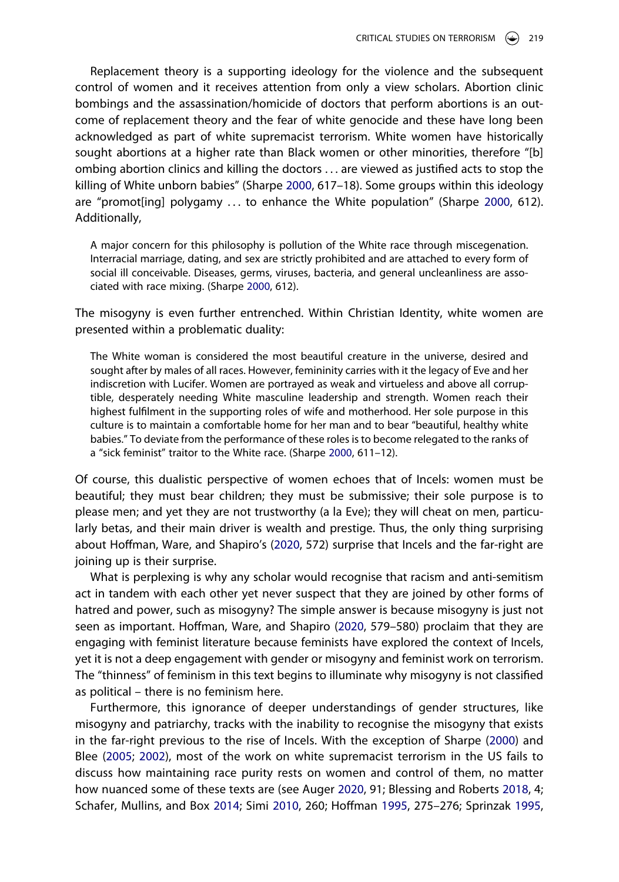Replacement theory is a supporting ideology for the violence and the subsequent control of women and it receives attention from only a view scholars. Abortion clinic bombings and the assassination/homicide of doctors that perform abortions is an outcome of replacement theory and the fear of white genocide and these have long been acknowledged as part of white supremacist terrorism. White women have historically sought abortions at a higher rate than Black women or other minorities, therefore "[b] ombing abortion clinics and killing the doctors . . . are viewed as justified acts to stop the killing of White unborn babies" (Sharpe [2000,](#page-16-6) 617–18). Some groups within this ideology are "promot[ing] polygamy . . . to enhance the White population" (Sharpe [2000,](#page-16-6) 612). Additionally,

A major concern for this philosophy is pollution of the White race through miscegenation. Interracial marriage, dating, and sex are strictly prohibited and are attached to every form of social ill conceivable. Diseases, germs, viruses, bacteria, and general uncleanliness are associated with race mixing. (Sharpe [2000](#page-16-6), 612).

The misogyny is even further entrenched. Within Christian Identity, white women are presented within a problematic duality:

The White woman is considered the most beautiful creature in the universe, desired and sought after by males of all races. However, femininity carries with it the legacy of Eve and her indiscretion with Lucifer. Women are portrayed as weak and virtueless and above all corruptible, desperately needing White masculine leadership and strength. Women reach their highest fulfilment in the supporting roles of wife and motherhood. Her sole purpose in this culture is to maintain a comfortable home for her man and to bear "beautiful, healthy white babies." To deviate from the performance of these roles is to become relegated to the ranks of a "sick feminist" traitor to the White race. (Sharpe [2000,](#page-16-6) 611–12).

Of course, this dualistic perspective of women echoes that of Incels: women must be beautiful; they must bear children; they must be submissive; their sole purpose is to please men; and yet they are not trustworthy (a la Eve); they will cheat on men, particularly betas, and their main driver is wealth and prestige. Thus, the only thing surprising about Hoffman, Ware, and Shapiro's [\(2020,](#page-15-1) 572) surprise that Incels and the far-right are joining up is their surprise.

What is perplexing is why any scholar would recognise that racism and anti-semitism act in tandem with each other yet never suspect that they are joined by other forms of hatred and power, such as misogyny? The simple answer is because misogyny is just not seen as important. Hoffman, Ware, and Shapiro ([2020](#page-15-1), 579–580) proclaim that they are engaging with feminist literature because feminists have explored the context of Incels, yet it is not a deep engagement with gender or misogyny and feminist work on terrorism. The "thinness" of feminism in this text begins to illuminate why misogyny is not classified as political – there is no feminism here.

<span id="page-11-0"></span>Furthermore, this ignorance of deeper understandings of gender structures, like misogyny and patriarchy, tracks with the inability to recognise the misogyny that exists in the far-right previous to the rise of Incels. With the exception of Sharpe [\(2000\)](#page-16-6) and Blee ([2005](#page-13-15); [2002\)](#page-13-16), most of the work on white supremacist terrorism in the US fails to discuss how maintaining race purity rests on women and control of them, no matter how nuanced some of these texts are (see Auger [2020](#page-13-10), 91; Blessing and Roberts [2018](#page-14-17), 4; Schafer, Mullins, and Box [2014;](#page-16-9) Simi [2010](#page-16-10), 260; Hoffman [1995,](#page-15-16) 275–276; Sprinzak [1995](#page-16-11),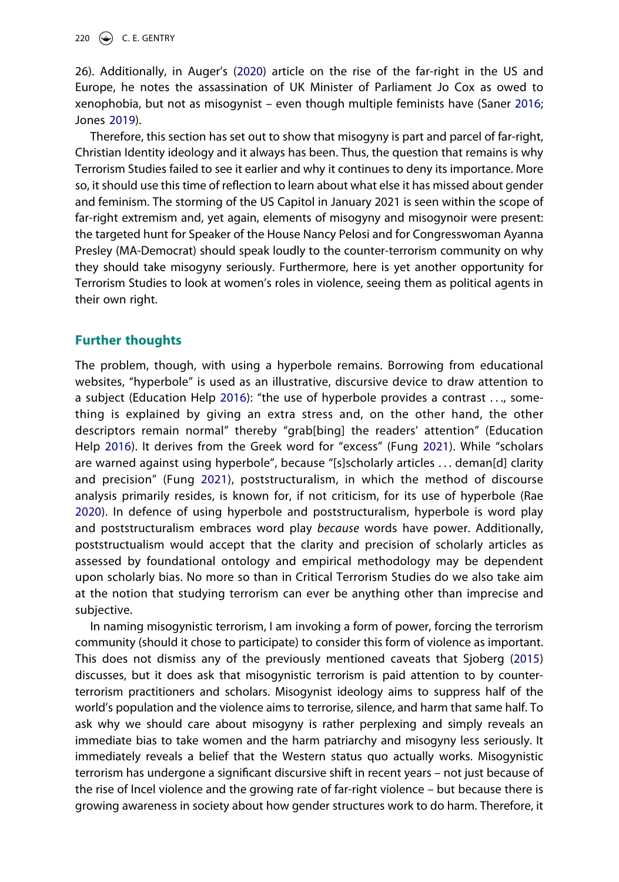<span id="page-12-4"></span>26). Additionally, in Auger's ([2020\)](#page-13-10) article on the rise of the far-right in the US and Europe, he notes the assassination of UK Minister of Parliament Jo Cox as owed to xenophobia, but not as misogynist – even though multiple feminists have (Saner [2016](#page-16-13); Jones [2019\)](#page-15-19).

<span id="page-12-2"></span>Therefore, this section has set out to show that misogyny is part and parcel of far-right, Christian Identity ideology and it always has been. Thus, the question that remains is why Terrorism Studies failed to see it earlier and why it continues to deny its importance. More so, it should use this time of reflection to learn about what else it has missed about gender and feminism. The storming of the US Capitol in January 2021 is seen within the scope of far-right extremism and, yet again, elements of misogyny and misogynoir were present: the targeted hunt for Speaker of the House Nancy Pelosi and for Congresswoman Ayanna Presley (MA-Democrat) should speak loudly to the counter-terrorism community on why they should take misogyny seriously. Furthermore, here is yet another opportunity for Terrorism Studies to look at women's roles in violence, seeing them as political agents in their own right.

## **Further thoughts**

<span id="page-12-3"></span><span id="page-12-1"></span><span id="page-12-0"></span>The problem, though, with using a hyperbole remains. Borrowing from educational websites, "hyperbole" is used as an illustrative, discursive device to draw attention to a subject (Education Help [2016](#page-14-23)): "the use of hyperbole provides a contrast . . ., something is explained by giving an extra stress and, on the other hand, the other descriptors remain normal" thereby "grab[bing] the readers' attention" (Education Help [2016\)](#page-14-23). It derives from the Greek word for "excess" (Fung [2021](#page-14-24)). While "scholars are warned against using hyperbole", because "[s]scholarly articles . . . deman[d] clarity and precision" (Fung [2021\)](#page-14-24), poststructuralism, in which the method of discourse analysis primarily resides, is known for, if not criticism, for its use of hyperbole (Rae [2020\)](#page-15-20). In defence of using hyperbole and poststructuralism, hyperbole is word play and poststructuralism embraces word play *because* words have power. Additionally, poststructualism would accept that the clarity and precision of scholarly articles as assessed by foundational ontology and empirical methodology may be dependent upon scholarly bias. No more so than in Critical Terrorism Studies do we also take aim at the notion that studying terrorism can ever be anything other than imprecise and subjective.

In naming misogynistic terrorism, I am invoking a form of power, forcing the terrorism community (should it chose to participate) to consider this form of violence as important. This does not dismiss any of the previously mentioned caveats that Sjoberg [\(2015](#page-16-3)) discusses, but it does ask that misogynistic terrorism is paid attention to by counterterrorism practitioners and scholars. Misogynist ideology aims to suppress half of the world's population and the violence aims to terrorise, silence, and harm that same half. To ask why we should care about misogyny is rather perplexing and simply reveals an immediate bias to take women and the harm patriarchy and misogyny less seriously. It immediately reveals a belief that the Western status quo actually works. Misogynistic terrorism has undergone a significant discursive shift in recent years – not just because of the rise of Incel violence and the growing rate of far-right violence – but because there is growing awareness in society about how gender structures work to do harm. Therefore, it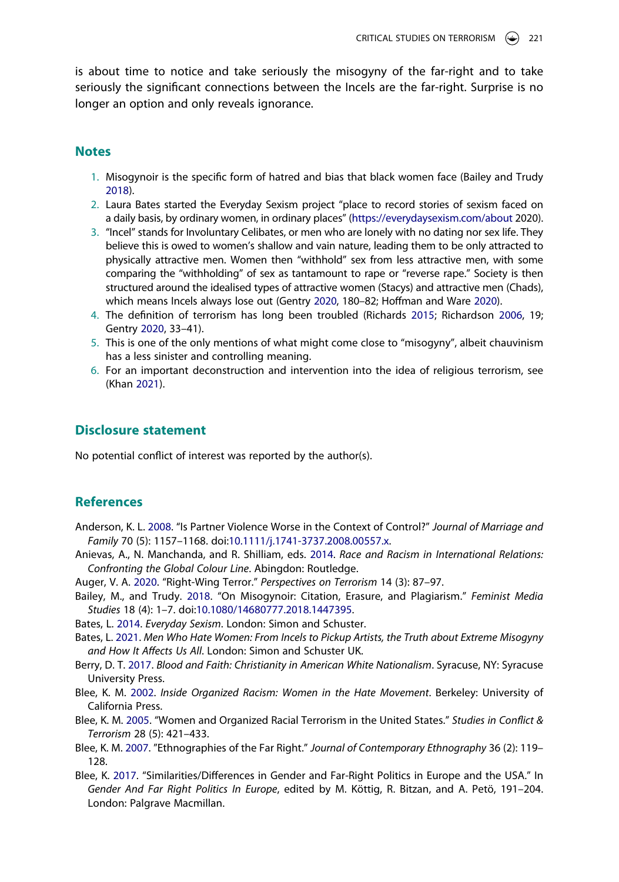is about time to notice and take seriously the misogyny of the far-right and to take seriously the significant connections between the Incels are the far-right. Surprise is no longer an option and only reveals ignorance.

#### **Notes**

- <span id="page-13-1"></span>1. Misogynoir is the specific form of hatred and bias that black women face (Bailey and Trudy [2018\)](#page-13-2).
- <span id="page-13-4"></span>2. Laura Bates started the Everyday Sexism project "place to record stories of sexism faced on a daily basis, by ordinary women, in ordinary places" (<https://everydaysexism.com/about>2020).
- <span id="page-13-6"></span>3. "Incel" stands for Involuntary Celibates, or men who are lonely with no dating nor sex life. They believe this is owed to women's shallow and vain nature, leading them to be only attracted to physically attractive men. Women then "withhold" sex from less attractive men, with some comparing the "withholding" of sex as tantamount to rape or "reverse rape." Society is then structured around the idealised types of attractive women (Stacys) and attractive men (Chads), which means Incels always lose out (Gentry [2020](#page-14-1), 180–82; Hoffman and Ware [2020](#page-15-11)).
- <span id="page-13-8"></span>4. The definition of terrorism has long been troubled (Richards [2015](#page-16-14); Richardson [2006](#page-16-4), 19; Gentry [2020,](#page-14-1) 33–41).
- <span id="page-13-11"></span>5. This is one of the only mentions of what might come close to "misogyny", albeit chauvinism has a less sinister and controlling meaning.
- <span id="page-13-17"></span><span id="page-13-13"></span>6. For an important deconstruction and intervention into the idea of religious terrorism, see (Khan [2021](#page-15-21)).

#### **Disclosure statement**

No potential conflict of interest was reported by the author(s).

### **References**

- <span id="page-13-3"></span>Anderson, K. L. [2008](#page-3-0). "Is Partner Violence Worse in the Context of Control?" *Journal of Marriage and Family* 70 (5): 1157–1168. doi:[10.1111/j.1741-3737.2008.00557.x](https://doi.org/10.1111/j.1741-3737.2008.00557.x).
- <span id="page-13-0"></span>Anievas, A., N. Manchanda, and R. Shilliam, eds. [2014.](#page-1-0) *Race and Racism in International Relations: Confronting the Global Colour Line*. Abingdon: Routledge.
- <span id="page-13-10"></span>Auger, V. A. [2020](#page-7-0). "Right-Wing Terror." *Perspectives on Terrorism* 14 (3): 87–97.
- <span id="page-13-2"></span>Bailey, M., and Trudy. [2018.](#page-2-0) "On Misogynoir: Citation, Erasure, and Plagiarism." *Feminist Media Studies* 18 (4): 1–7. doi:[10.1080/14680777.2018.1447395.](https://doi.org/10.1080/14680777.2018.1447395)
- <span id="page-13-5"></span>Bates, L. [2014.](#page-4-0) *Everyday Sexism*. London: Simon and Schuster.
- <span id="page-13-7"></span>Bates, L. [2021.](#page-4-1) *Men Who Hate Women: From Incels to Pickup Artists, the Truth about Extreme Misogyny and How It Affects Us All*. London: Simon and Schuster UK.
- <span id="page-13-14"></span>Berry, D. T. [2017.](#page-10-0) *Blood and Faith: Christianity in American White Nationalism*. Syracuse, NY: Syracuse University Press.
- <span id="page-13-16"></span>Blee, K. M. [2002.](#page-11-0) *Inside Organized Racism: Women in the Hate Movement*. Berkeley: University of California Press.
- <span id="page-13-15"></span>Blee, K. M. [2005](#page-11-0). "Women and Organized Racial Terrorism in the United States." *Studies in Conflict & Terrorism* 28 (5): 421–433.
- <span id="page-13-9"></span>Blee, K. M. [2007](#page-7-1). "Ethnographies of the Far Right." *Journal of Contemporary Ethnography* 36 (2): 119– 128.
- <span id="page-13-12"></span>Blee, K. [2017.](#page-9-0) "Similarities/Differences in Gender and Far-Right Politics in Europe and the USA." In *Gender And Far Right Politics In Europe*, edited by M. Köttig, R. Bitzan, and A. Petö, 191–204. London: Palgrave Macmillan.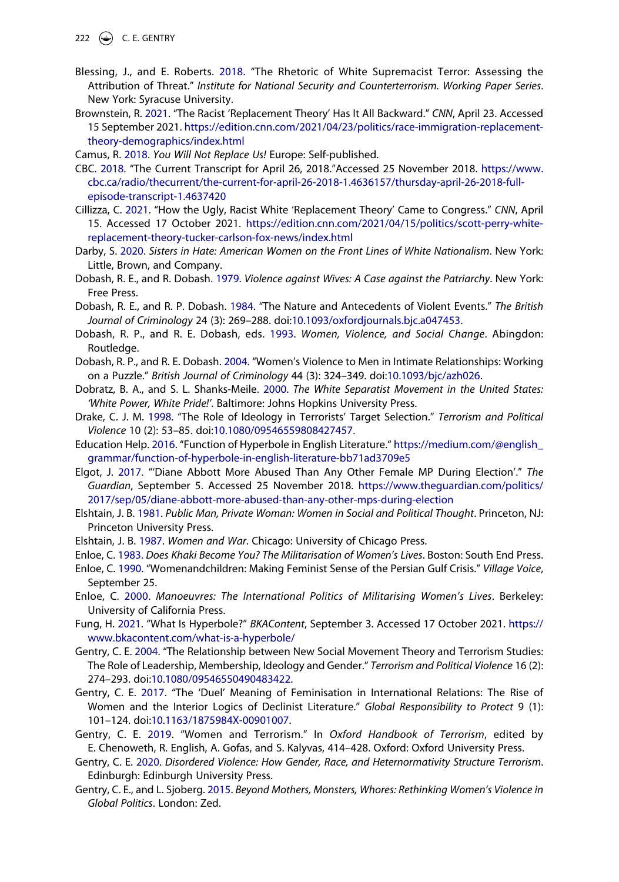222  $\left(\bigcirc\right)$  C. E. GENTRY

- <span id="page-14-17"></span>Blessing, J., and E. Roberts. [2018.](#page-8-0) "The Rhetoric of White Supremacist Terror: Assessing the Attribution of Threat." *Institute for National Security and Counterterrorism. Working Paper Series*. New York: Syracuse University.
- <span id="page-14-21"></span>Brownstein, R. [2021](#page-10-1). "The Racist 'Replacement Theory' Has It All Backward." *CNN*, April 23. Accessed 15 September 2021. [https://edition.cnn.com/2021/04/23/politics/race-immigration-replacement](https://edition.cnn.com/2021/04/23/politics/race-immigration-replacement-theory-demographics/index.html)[theory-demographics/index.html](https://edition.cnn.com/2021/04/23/politics/race-immigration-replacement-theory-demographics/index.html)

<span id="page-14-20"></span>Camus, R. [2018.](#page-10-2) *You Will Not Replace Us!* Europe: Self-published.

- <span id="page-14-10"></span>CBC. [2018.](#page-4-2) "The Current Transcript for April 26, 2018."Accessed 25 November 2018. [https://www.](https://www.cbc.ca/radio/thecurrent/the-current-for-april-26-2018-1.4636157/thursday-april-26-2018-full-episode-transcript-1.4637420) [cbc.ca/radio/thecurrent/the-current-for-april-26-2018-1.4636157/thursday-april-26-2018-full](https://www.cbc.ca/radio/thecurrent/the-current-for-april-26-2018-1.4636157/thursday-april-26-2018-full-episode-transcript-1.4637420)[episode-transcript-1.4637420](https://www.cbc.ca/radio/thecurrent/the-current-for-april-26-2018-1.4636157/thursday-april-26-2018-full-episode-transcript-1.4637420)
- <span id="page-14-22"></span>Cillizza, C. [2021](#page-10-3). "How the Ugly, Racist White 'Replacement Theory' Came to Congress." *CNN*, April 15. Accessed 17 October 2021. [https://edition.cnn.com/2021/04/15/politics/scott-perry-white](https://edition.cnn.com/2021/04/15/politics/scott-perry-white-replacement-theory-tucker-carlson-fox-news/index.html)[replacement-theory-tucker-carlson-fox-news/index.html](https://edition.cnn.com/2021/04/15/politics/scott-perry-white-replacement-theory-tucker-carlson-fox-news/index.html)
- <span id="page-14-18"></span>Darby, S. [2020](#page-9-1). *Sisters in Hate: American Women on the Front Lines of White Nationalism*. New York: Little, Brown, and Company.
- <span id="page-14-6"></span>Dobash, R. E., and R. Dobash. [1979.](#page-3-1) *Violence against Wives: A Case against the Patriarchy*. New York: Free Press.
- <span id="page-14-7"></span>Dobash, R. E., and R. P. Dobash. [1984.](#page-3-2) "The Nature and Antecedents of Violent Events." *The British Journal of Criminology* 24 (3): 269–288. doi:[10.1093/oxfordjournals.bjc.a047453](https://doi.org/10.1093/oxfordjournals.bjc.a047453).
- <span id="page-14-8"></span>Dobash, R. P., and R. E. Dobash, eds. [1993](#page-3-2). *Women, Violence, and Social Change*. Abingdon: Routledge.
- <span id="page-14-9"></span>Dobash, R. P., and R. E. Dobash. [2004](#page-3-0). "Women's Violence to Men in Intimate Relationships: Working on a Puzzle." *British Journal of Criminology* 44 (3): 324–349. doi:[10.1093/bjc/azh026.](https://doi.org/10.1093/bjc/azh026)
- <span id="page-14-19"></span>Dobratz, B. A., and S. L. Shanks-Meile. [2000](#page-9-2). *The White Separatist Movement in the United States: 'White Power, White Pride!'*. Baltimore: Johns Hopkins University Press.
- <span id="page-14-12"></span>Drake, C. J. M. [1998.](#page-6-0) "The Role of Ideology in Terrorists' Target Selection." *Terrorism and Political Violence* 10 (2): 53–85. doi:[10.1080/09546559808427457](https://doi.org/10.1080/09546559808427457).
- <span id="page-14-23"></span>Education Help. [2016.](#page-12-0) "Function of Hyperbole in English Literature." [https://medium.com/@english\\_](https://medium.com/@english_grammar/function-of-hyperbole-in-english-literature-bb71ad3709e5) [grammar/function-of-hyperbole-in-english-literature-bb71ad3709e5](https://medium.com/@english_grammar/function-of-hyperbole-in-english-literature-bb71ad3709e5)
- <span id="page-14-0"></span>Elgot, J. [2017.](#page-2-1) "'Diane Abbott More Abused Than Any Other Female MP During Election'." *The Guardian*, September 5. Accessed 25 November 2018. [https://www.theguardian.com/politics/](https://www.theguardian.com/politics/2017/sep/05/diane-abbott-more-abused-than-any-other-mps-during-election) [2017/sep/05/diane-abbott-more-abused-than-any-other-mps-during-election](https://www.theguardian.com/politics/2017/sep/05/diane-abbott-more-abused-than-any-other-mps-during-election)
- <span id="page-14-11"></span>Elshtain, J. B. [1981](#page-5-0). *Public Man, Private Woman: Women in Social and Political Thought*. Princeton, NJ: Princeton University Press.
- <span id="page-14-14"></span>Elshtain, J. B. [1987](#page-6-1). *Women and War*. Chicago: University of Chicago Press.
- <span id="page-14-15"></span>Enloe, C. [1983.](#page-6-2) *Does Khaki Become You? The Militarisation of Women's Lives*. Boston: South End Press.
- <span id="page-14-4"></span>Enloe, C. [1990.](#page-2-2) "Womenandchildren: Making Feminist Sense of the Persian Gulf Crisis." *Village Voice*, September 25.
- <span id="page-14-16"></span>Enloe, C. [2000](#page-6-2). *Manoeuvres: The International Politics of Militarising Women's Lives*. Berkeley: University of California Press.
- <span id="page-14-24"></span>Fung, H. [2021](#page-12-1). "What Is Hyperbole?" *BKAContent*, September 3. Accessed 17 October 2021. [https://](https://www.bkacontent.com/what-is-a-hyperbole/) [www.bkacontent.com/what-is-a-hyperbole/](https://www.bkacontent.com/what-is-a-hyperbole/)
- <span id="page-14-13"></span>Gentry, C. E. [2004.](#page-6-3) "The Relationship between New Social Movement Theory and Terrorism Studies: The Role of Leadership, Membership, Ideology and Gender." *Terrorism and Political Violence* 16 (2): 274–293. doi:[10.1080/09546550490483422.](https://doi.org/10.1080/09546550490483422)
- <span id="page-14-5"></span>Gentry, C. E. [2017](#page-2-3). "The 'Duel' Meaning of Feminisation in International Relations: The Rise of Women and the Interior Logics of Declinist Literature." *Global Responsibility to Protect* 9 (1): 101–124. doi:[10.1163/1875984X-00901007](https://doi.org/10.1163/1875984X-00901007).
- <span id="page-14-3"></span>Gentry, C. E. [2019.](#page-2-4) "Women and Terrorism." In *Oxford Handbook of Terrorism*, edited by E. Chenoweth, R. English, A. Gofas, and S. Kalyvas, 414–428. Oxford: Oxford University Press.
- <span id="page-14-1"></span>Gentry, C. E. [2020](#page-2-5). *Disordered Violence: How Gender, Race, and Heternormativity Structure Terrorism*. Edinburgh: Edinburgh University Press.
- <span id="page-14-2"></span>Gentry, C. E., and L. Sjoberg. [2015.](#page-2-6) *Beyond Mothers, Monsters, Whores: Rethinking Women's Violence in Global Politics*. London: Zed.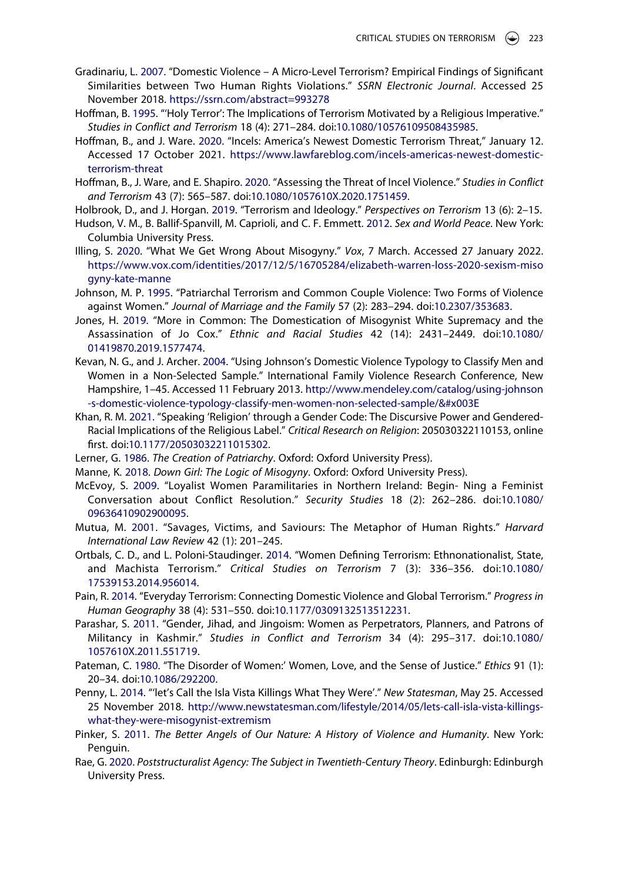- <span id="page-15-7"></span>Gradinariu, L. [2007.](#page-3-0) "Domestic Violence – A Micro-Level Terrorism? Empirical Findings of Significant Similarities between Two Human Rights Violations." *SSRN Electronic Journal*. Accessed 25 November 2018. <https://ssrn.com/abstract=993278>
- <span id="page-15-16"></span>Hoffman, B. [1995](#page-7-2). "'Holy Terror': The Implications of Terrorism Motivated by a Religious Imperative." *Studies in Conflict and Terrorism* 18 (4): 271–284. doi:[10.1080/10576109508435985](https://doi.org/10.1080/10576109508435985).
- <span id="page-15-11"></span>Hoffman, B., and J. Ware. [2020.](#page-5-1) "Incels: America's Newest Domestic Terrorism Threat," January 12. Accessed 17 October 2021. [https://www.lawfareblog.com/incels-americas-newest-domestic](https://www.lawfareblog.com/incels-americas-newest-domestic-terrorism-threat)[terrorism-threat](https://www.lawfareblog.com/incels-americas-newest-domestic-terrorism-threat)
- <span id="page-15-1"></span>Hoffman, B., J. Ware, and E. Shapiro. [2020.](#page-2-7) "Assessing the Threat of Incel Violence." *Studies in Conflict and Terrorism* 43 (7): 565–587. doi:[10.1080/1057610X.2020.1751459.](https://doi.org/10.1080/1057610X.2020.1751459)
- <span id="page-15-12"></span>Holbrook, D., and J. Horgan. [2019](#page-6-4). "Terrorism and Ideology." *Perspectives on Terrorism* 13 (6): 2–15.
- <span id="page-15-3"></span>Hudson, V. M., B. Ballif-Spanvill, M. Caprioli, and C. F. Emmett. [2012.](#page-2-8) *Sex and World Peace*. New York: Columbia University Press.
- <span id="page-15-15"></span>Illing, S. [2020.](#page-6-2) "What We Get Wrong About Misogyny." *Vox*, 7 March. Accessed 27 January 2022. [https://www.vox.com/identities/2017/12/5/16705284/elizabeth-warren-loss-2020-sexism-miso](https://www.vox.com/identities/2017/12/5/16705284/elizabeth-warren-loss-2020-sexism-misogyny-kate-manne) [gyny-kate-manne](https://www.vox.com/identities/2017/12/5/16705284/elizabeth-warren-loss-2020-sexism-misogyny-kate-manne)
- <span id="page-15-5"></span>Johnson, M. P. [1995.](#page-3-3) "Patriarchal Terrorism and Common Couple Violence: Two Forms of Violence against Women." *Journal of Marriage and the Family* 57 (2): 283–294. doi:[10.2307/353683](https://doi.org/10.2307/353683).
- <span id="page-15-19"></span>Jones, H. [2019.](#page-12-2) "More in Common: The Domestication of Misogynist White Supremacy and the Assassination of Jo Cox." *Ethnic and Racial Studies* 42 (14): 2431–2449. doi:[10.1080/](https://doi.org/10.1080/01419870.2019.1577474) [01419870.2019.1577474](https://doi.org/10.1080/01419870.2019.1577474).
- <span id="page-15-6"></span>Kevan, N. G., and J. Archer. [2004](#page-3-4). "Using Johnson's Domestic Violence Typology to Classify Men and Women in a Non-Selected Sample." International Family Violence Research Conference, New Hampshire, 1–45. Accessed 11 February 2013. [http://www.mendeley.com/catalog/using-johnson](http://www.mendeley.com/catalog/using-johnson-s-domestic-violence-typology-classify-men-women-non-selected-sample/%26#x003E) [-s-domestic-violence-typology-classify-men-women-non-selected-sample/&#x003E](http://www.mendeley.com/catalog/using-johnson-s-domestic-violence-typology-classify-men-women-non-selected-sample/%26#x003E)
- <span id="page-15-21"></span>Khan, R. M. [2021](#page-13-17). "Speaking 'Religion' through a Gender Code: The Discursive Power and Gendered-Racial Implications of the Religious Label." *Critical Research on Religion*: 205030322110153, online first. doi:[10.1177/20503032211015302.](https://doi.org/10.1177/20503032211015302)
- <span id="page-15-13"></span>Lerner, G. [1986](#page-6-5). *The Creation of Patriarchy*. Oxford: Oxford University Press).
- <span id="page-15-0"></span>Manne, K. [2018](#page-1-1). *Down Girl: The Logic of Misogyny*. Oxford: Oxford University Press).
- <span id="page-15-18"></span>McEvoy, S. [2009](#page-8-1). "Loyalist Women Paramilitaries in Northern Ireland: Begin- Ning a Feminist Conversation about Conflict Resolution." *Security Studies* 18 (2): 262–286. doi:[10.1080/](https://doi.org/10.1080/09636410902900095) [09636410902900095](https://doi.org/10.1080/09636410902900095).
- <span id="page-15-4"></span>Mutua, M. [2001.](#page-2-3) "Savages, Victims, and Saviours: The Metaphor of Human Rights." *Harvard International Law Review* 42 (1): 201–245.
- <span id="page-15-9"></span>Ortbals, C. D., and L. Poloni-Staudinger. [2014.](#page-4-3) "Women Defining Terrorism: Ethnonationalist, State, and Machista Terrorism." *Critical Studies on Terrorism* 7 (3): 336–356. doi:[10.1080/](https://doi.org/10.1080/17539153.2014.956014) [17539153.2014.956014.](https://doi.org/10.1080/17539153.2014.956014)
- <span id="page-15-8"></span>Pain, R. [2014](#page-3-5). "Everyday Terrorism: Connecting Domestic Violence and Global Terrorism." *Progress in Human Geography* 38 (4): 531–550. doi:[10.1177/0309132513512231](https://doi.org/10.1177/0309132513512231).
- <span id="page-15-17"></span>Parashar, S. [2011.](#page-8-1) "Gender, Jihad, and Jingoism: Women as Perpetrators, Planners, and Patrons of Militancy in Kashmir." *Studies in Conflict and Terrorism* 34 (4): 295–317. doi:[10.1080/](https://doi.org/10.1080/1057610X.2011.551719) [1057610X.2011.551719](https://doi.org/10.1080/1057610X.2011.551719).
- <span id="page-15-14"></span>Pateman, C. [1980.](#page-6-1) "The Disorder of Women:' Women, Love, and the Sense of Justice." *Ethics* 91 (1): 20–34. doi:[10.1086/292200.](https://doi.org/10.1086/292200)
- <span id="page-15-10"></span>Penny, L. [2014](#page-4-1). "'let's Call the Isla Vista Killings What They Were'." *New Statesman*, May 25. Accessed 25 November 2018. [http://www.newstatesman.com/lifestyle/2014/05/lets-call-isla-vista-killings](http://www.newstatesman.com/lifestyle/2014/05/lets-call-isla-vista-killings-what-they-were-misogynist-extremism)[what-they-were-misogynist-extremism](http://www.newstatesman.com/lifestyle/2014/05/lets-call-isla-vista-killings-what-they-were-misogynist-extremism)
- <span id="page-15-2"></span>Pinker, S. [2011.](#page-2-9) *The Better Angels of Our Nature: A History of Violence and Humanity*. New York: Penguin.
- <span id="page-15-20"></span>Rae, G. [2020.](#page-12-3) *Poststructuralist Agency: The Subject in Twentieth-Century Theory*. Edinburgh: Edinburgh University Press.